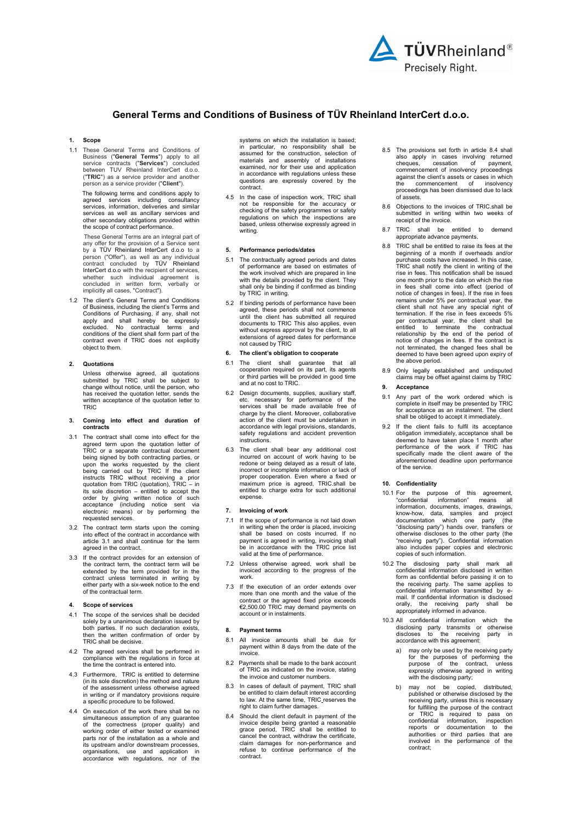

# General Terms and Conditions of Business of TÜV Rheinland InterCert d.o.o.

# 1. Scope

1.1 These General Terms and Conditions of Business ("General Terms") apply to all service contracts ("**Services**") concluded<br>between TUV Rheinland InterCert d.o.o. ("TRIC") as a service provider and another person as a service provider ("Client").

 The following terms and conditions apply to agreed services including consultancy services, information, deliveries and similar services as well as ancillary services and other secondary obligations provided within the scope of contract performance.

 These General Terms are an integral part of any offer for the provision of a Service sent by a TÜV Rheinland InterCert d.o.o to a person ("Offer"), as well as any individual contract concluded by TÜV Rheinland InterCert d.o.o with the recipient of services, whether such individual agreement is concluded in written form, verbally or implicitly all cases, "Contract").

1.2 The client's General Terms and Conditions of Business, including the client's Terms and Conditions of Purchasing, if any, shall not apply and shall hereby be expressly excluded. No contractual terms and conditions of the client shall form part of the contract even if TRIC does not explicitly object to them.

#### 2. Quotations

Unless otherwise agreed, all quotations submitted by TRIC shall be subject to change without notice, until the person, who has received the quotation letter, sends the written acceptance of the quotation letter to TRIC

# 3. Coming into effect and duration of contracts

- 3.1 The contract shall come into effect for the agreed term upon the quotation letter of TRIC or a separate contractual document being signed by both contracting parties, or upon the works requested by the client being carried out by TRIC If the client<br>instructs TRIC without receiving a prior<br>quotation from TRIC (quotation), TRIC – in<br>its sole discretion – entitled to accept the<br>acceptance (including notice sent via<br>acceptance (inc requested services.
- 3.2 The contract term starts upon the coming into effect of the contract in accordance with article 3.1 and shall continue for the term agreed in the contract.
- 3.3 If the contract provides for an extension of the contract term, the contract term will be extended by the term provided for in the contract unless terminated in writing by either party with a six-week notice to the end of the contractual term.

#### 4. Scope of services

- 4.1 The scope of the services shall be decided solely by a unanimous declaration issued by both parties. If no such declaration exists, then the written confirmation of order by TRIC shall be decisive.
- 4.2 The agreed services shall be performed in compliance with the regulations in force at the time the contract is entered into.
- 4.3 Furthermore, TRIC is entitled to determine (in its sole discretion) the method and nature of the assessment unless otherwise agreed in writing or if mandatory provisions require a specific procedure to be followed.
- 4.4 On execution of the work there shall be no simultaneous assumption of any guarantee of the correctness (proper quality) and working order of either tested or examined parts nor of the installation as a whole and its upstream and/or downstream processes, organisations, use and application in accordance with regulations, nor of the

systems on which the installation is based; in particular, no responsibility shall be assumed for the construction, selection of materials and assembly of installations examined, nor for their use and application in accordance with regulations unless these questions are expressly covered by the contract.

4.5 In the case of inspection work, TRIC shall not be responsible for the accuracy or checking of the safety programmes or safety regulations on which the inspections are based, unless otherwise expressly agreed in writing.

## 5. Performance periods/dates

- 5.1 The contractually agreed periods and dates of performance are based on estimates of the work involved which are prepared in line with the details provided by the client. They shall only be binding if confirmed as binding by TRIC in writing.
- 5.2 If binding periods of performance have been agreed, these periods shall not commence until the client has submitted all required documents to TRIC This also applies, even without express approval by the client, to all extensions of agreed dates for performance not caused by TRIC

## The client's obligation to cooperate

- 6.1 The client shall guarantee that all cooperation required on its part, its agents or third parties will be provided in good time and at no cost to TRIC.
- 6.2 Design documents, supplies, auxiliary staff, etc. necessary for performance of the services shall be made available free of charge by the client. Moreover, collaborative action of the client must be undertaken in accordance with legal provisions, standards, safety regulations and accident prevention instructions.
- 6.3 The client shall bear any additional cost incurred on account of work having to be redone or being delayed as a result of late, incorrect or incomplete information or lack of proper cooperation. Even where a fixed or maximum price is agreed, TRIC.shall be entitled to charge extra for such additional expense.

### Invoicing of work

- 7.1 If the scope of performance is not laid down in writing when the order is placed, invoicing shall be based on costs incurred. If no payment is agreed in writing, invoicing shall be in accordance with the TRIC price list valid at the time of performance.
- 7.2 Unless otherwise agreed, work shall be invoiced according to the progress of the work.
- 7.3 If the execution of an order extends over more than one month and the value of the contract or the agreed fixed price exceeds €2,500.00 TRIC may demand payments on account or in instalments.

#### **Payment terms**

- 8.1 All invoice amounts shall be due for payment within 8 days from the date of the invoice.
- 8.2 Payments shall be made to the bank account of TRIC as indicated on the invoice, stating the invoice and customer numbers.
- 8.3 In cases of default of payment, TRIC shall be entitled to claim default interest according to law. At the same time, TRIC reserves the right to claim further damages.
- Should the client default in payment of the invoice despite being granted a reasonable grace period, TRIC shall be entitled to cancel the contract, withdraw the certificate, claim damages for non-performance and refuse to continue performance of the contract.
- 8.5 The provisions set forth in article 8.4 shall also apply in cases involving returned cheques, cessation of payment, commencement of insolvency proceedings against the client's assets or cases in which the commencement of insolvency proceedings has been dismissed due to lack of assets.
- 8.6 Objections to the invoices of TRIC.shall be submitted in writing within two weeks of receipt of the invoice.
- 8.7 TRIC shall be entitled to demand appropriate advance payments.
- 8.8 TRIC shall be entitled to raise its fees at the beginning of a month if overheads and/or purchase costs have increased. In this case, TRIC shall notify the client in writing of the rise in fees. This notification shall be issued one month prior to the date on which the rise in fees shall come into effect (period of notice of changes in fees). If the rise in fees remains under 5% per contractual year, the client shall not have any special right of termination. If the rise in fees exceeds 5% per contractual year, the client shall be entitled to terminate the contractual relationship by the end of the period of changes in fees. If the contract is not terminated, the changed fees shall be deemed to have been agreed upon expiry of the above period.
- 8.9 Only legally established and undisputed claims may be offset against claims by TRIC

# **Acceptance**

- 9.1 Any part of the work ordered which is complete in itself may be presented by TRIC for acceptance as an instalment. The client shall be obliged to accept it immediately.
- 9.2 If the client fails to fulfil its acceptance obligation immediately, acceptance shall be deemed to have taken place 1 month after performance of the work if TRIC has specifically made the client aware of the aforementioned deadline upon performance of the service.

#### 10. Confidentiality

- 10.1 For the purpose of this agreement, "confidential information" means all information, documents, images, drawings, know-how, data, samples and project documentation which one party (the "disclosing party") hands over, transfers or otherwise discloses to the other party (the "receiving party"). Confidential information also includes paper copies and electronic copies of such information.
- 10.2 The disclosing party shall mark all confidential information disclosed in written form as confidential before passing it on to the receiving party. The same applies to confidential information transmitted by email. If confidential information is disclosed<br>orally, the receiving party shall be orally, the receiving party shall be appropriately informed in advance.
- 10.3 All confidential information which the disclosing party transmits or otherwise discloses to the receiving party in accordance with this agreement:
	- a) may only be used by the receiving party for the purposes of performing the purpose of the contract, unless expressly otherwise agreed in writing with the disclosing party;
- b) may not be copied, distributed, published or otherwise disclosed by the receiving party, unless this is necessary<br>for fulfilling the purpose of the contract<br>or TRIC is required to pass on<br>confidential information, inspection<br>reports or documentation to the<br>authorities or third parties that are contract;